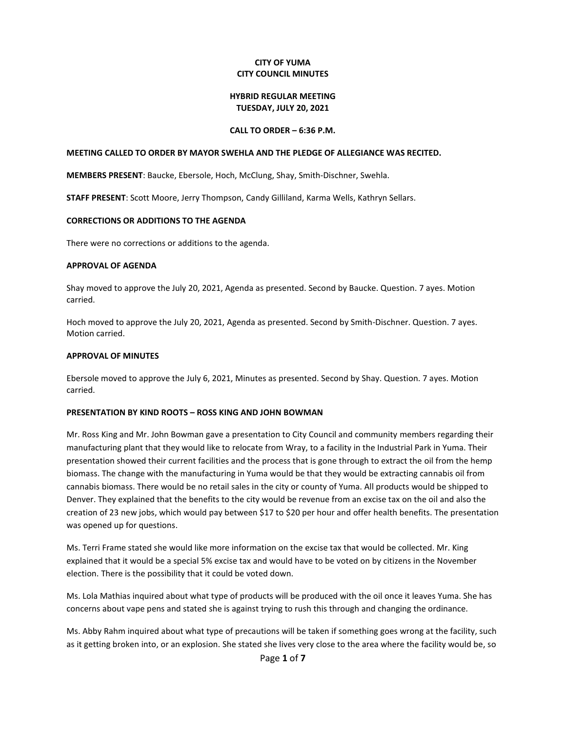## **CITY OF YUMA CITY COUNCIL MINUTES**

## **HYBRID REGULAR MEETING TUESDAY, JULY 20, 2021**

## **CALL TO ORDER – 6:36 P.M.**

## **MEETING CALLED TO ORDER BY MAYOR SWEHLA AND THE PLEDGE OF ALLEGIANCE WAS RECITED.**

**MEMBERS PRESENT**: Baucke, Ebersole, Hoch, McClung, Shay, Smith-Dischner, Swehla.

**STAFF PRESENT**: Scott Moore, Jerry Thompson, Candy Gilliland, Karma Wells, Kathryn Sellars.

### **CORRECTIONS OR ADDITIONS TO THE AGENDA**

There were no corrections or additions to the agenda.

#### **APPROVAL OF AGENDA**

Shay moved to approve the July 20, 2021, Agenda as presented. Second by Baucke. Question. 7 ayes. Motion carried.

Hoch moved to approve the July 20, 2021, Agenda as presented. Second by Smith-Dischner. Question. 7 ayes. Motion carried.

#### **APPROVAL OF MINUTES**

Ebersole moved to approve the July 6, 2021, Minutes as presented. Second by Shay. Question. 7 ayes. Motion carried.

## **PRESENTATION BY KIND ROOTS – ROSS KING AND JOHN BOWMAN**

Mr. Ross King and Mr. John Bowman gave a presentation to City Council and community members regarding their manufacturing plant that they would like to relocate from Wray, to a facility in the Industrial Park in Yuma. Their presentation showed their current facilities and the process that is gone through to extract the oil from the hemp biomass. The change with the manufacturing in Yuma would be that they would be extracting cannabis oil from cannabis biomass. There would be no retail sales in the city or county of Yuma. All products would be shipped to Denver. They explained that the benefits to the city would be revenue from an excise tax on the oil and also the creation of 23 new jobs, which would pay between \$17 to \$20 per hour and offer health benefits. The presentation was opened up for questions.

Ms. Terri Frame stated she would like more information on the excise tax that would be collected. Mr. King explained that it would be a special 5% excise tax and would have to be voted on by citizens in the November election. There is the possibility that it could be voted down.

Ms. Lola Mathias inquired about what type of products will be produced with the oil once it leaves Yuma. She has concerns about vape pens and stated she is against trying to rush this through and changing the ordinance.

Ms. Abby Rahm inquired about what type of precautions will be taken if something goes wrong at the facility, such as it getting broken into, or an explosion. She stated she lives very close to the area where the facility would be, so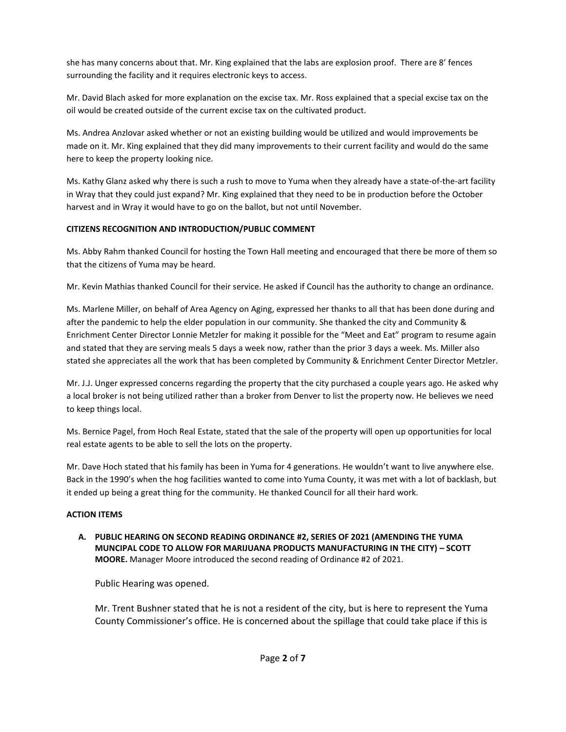she has many concerns about that. Mr. King explained that the labs are explosion proof. There are 8' fences surrounding the facility and it requires electronic keys to access.

Mr. David Blach asked for more explanation on the excise tax. Mr. Ross explained that a special excise tax on the oil would be created outside of the current excise tax on the cultivated product.

Ms. Andrea Anzlovar asked whether or not an existing building would be utilized and would improvements be made on it. Mr. King explained that they did many improvements to their current facility and would do the same here to keep the property looking nice.

Ms. Kathy Glanz asked why there is such a rush to move to Yuma when they already have a state-of-the-art facility in Wray that they could just expand? Mr. King explained that they need to be in production before the October harvest and in Wray it would have to go on the ballot, but not until November.

# **CITIZENS RECOGNITION AND INTRODUCTION/PUBLIC COMMENT**

Ms. Abby Rahm thanked Council for hosting the Town Hall meeting and encouraged that there be more of them so that the citizens of Yuma may be heard.

Mr. Kevin Mathias thanked Council for their service. He asked if Council has the authority to change an ordinance.

Ms. Marlene Miller, on behalf of Area Agency on Aging, expressed her thanks to all that has been done during and after the pandemic to help the elder population in our community. She thanked the city and Community & Enrichment Center Director Lonnie Metzler for making it possible for the "Meet and Eat" program to resume again and stated that they are serving meals 5 days a week now, rather than the prior 3 days a week. Ms. Miller also stated she appreciates all the work that has been completed by Community & Enrichment Center Director Metzler.

Mr. J.J. Unger expressed concerns regarding the property that the city purchased a couple years ago. He asked why a local broker is not being utilized rather than a broker from Denver to list the property now. He believes we need to keep things local.

Ms. Bernice Pagel, from Hoch Real Estate, stated that the sale of the property will open up opportunities for local real estate agents to be able to sell the lots on the property.

Mr. Dave Hoch stated that his family has been in Yuma for 4 generations. He wouldn't want to live anywhere else. Back in the 1990's when the hog facilities wanted to come into Yuma County, it was met with a lot of backlash, but it ended up being a great thing for the community. He thanked Council for all their hard work.

# **ACTION ITEMS**

**A. PUBLIC HEARING ON SECOND READING ORDINANCE #2, SERIES OF 2021 (AMENDING THE YUMA MUNCIPAL CODE TO ALLOW FOR MARIJUANA PRODUCTS MANUFACTURING IN THE CITY) – SCOTT MOORE.** Manager Moore introduced the second reading of Ordinance #2 of 2021.

Public Hearing was opened.

Mr. Trent Bushner stated that he is not a resident of the city, but is here to represent the Yuma County Commissioner's office. He is concerned about the spillage that could take place if this is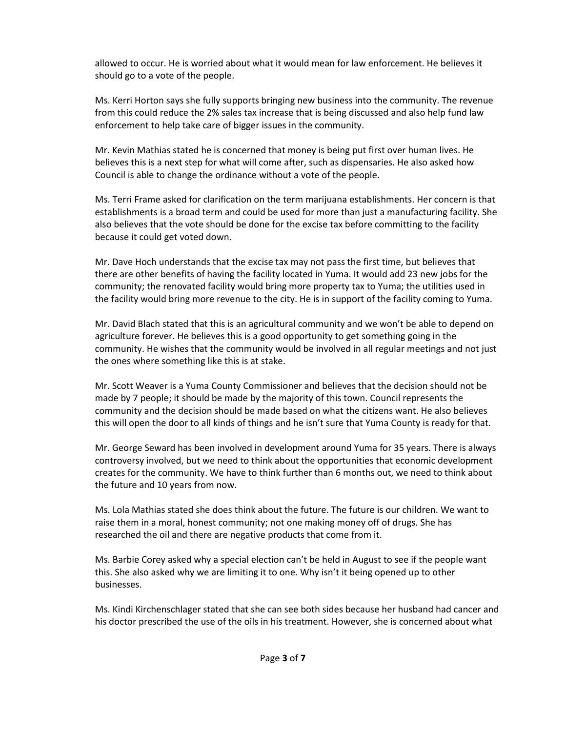allowed to occur. He is worried about what it would mean for law enforcement. He believes it should go to a vote of the people.

Ms. Kerri Horton says she fully supports bringing new business into the community. The revenue from this could reduce the 2% sales tax increase that is being discussed and also help fund law enforcement to help take care of bigger issues in the community.

Mr. Kevin Mathias stated he is concerned that money is being put first over human lives. He believes this is a next step for what will come after, such as dispensaries. He also asked how Council is able to change the ordinance without a vote of the people.

Ms. Terri Frame asked for clarification on the term marijuana establishments. Her concern is that establishments is a broad term and could be used for more than just a manufacturing facility. She also believes that the vote should be done for the excise tax before committing to the facility because it could get voted down.

Mr. Dave Hoch understands that the excise tax may not pass the first time, but believes that there are other benefits of having the facility located in Yuma. It would add 23 new jobs for the community; the renovated facility would bring more property tax to Yuma; the utilities used in the facility would bring more revenue to the city. He is in support of the facility coming to Yuma.

Mr. David Blach stated that this is an agricultural community and we won't be able to depend on agriculture forever. He believes this is a good opportunity to get something going in the community. He wishes that the community would be involved in all regular meetings and not just the ones where something like this is at stake.

Mr. Scott Weaver is a Yuma County Commissioner and believes that the decision should not be made by 7 people; it should be made by the majority of this town. Council represents the community and the decision should be made based on what the citizens want. He also believes this will open the door to all kinds of things and he isn't sure that Yuma County is ready for that.

Mr. George Seward has been involved in development around Yuma for 35 years. There is always controversy involved, but we need to think about the opportunities that economic development creates for the community. We have to think further than 6 months out, we need to think about the future and 10 years from now.

Ms. Lola Mathias stated she does think about the future. The future is our children. We want to raise them in a moral, honest community; not one making money off of drugs. She has researched the oil and there are negative products that come from it.

Ms. Barbie Corey asked why a special election can't be held in August to see if the people want this. She also asked why we are limiting it to one. Why isn't it being opened up to other businesses.

Ms. Kindi Kirchenschlager stated that she can see both sides because her husband had cancer and his doctor prescribed the use of the oils in his treatment. However, she is concerned about what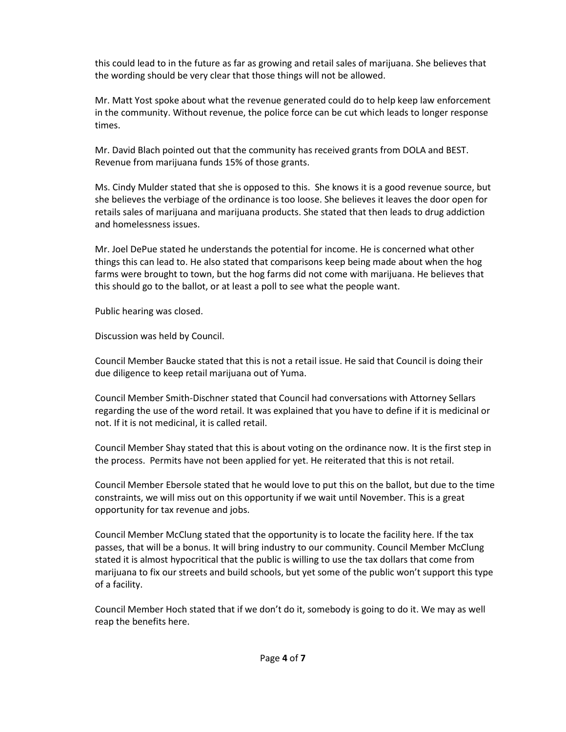this could lead to in the future as far as growing and retail sales of marijuana. She believes that the wording should be very clear that those things will not be allowed.

Mr. Matt Yost spoke about what the revenue generated could do to help keep law enforcement in the community. Without revenue, the police force can be cut which leads to longer response times.

Mr. David Blach pointed out that the community has received grants from DOLA and BEST. Revenue from marijuana funds 15% of those grants.

Ms. Cindy Mulder stated that she is opposed to this. She knows it is a good revenue source, but she believes the verbiage of the ordinance is too loose. She believes it leaves the door open for retails sales of marijuana and marijuana products. She stated that then leads to drug addiction and homelessness issues.

Mr. Joel DePue stated he understands the potential for income. He is concerned what other things this can lead to. He also stated that comparisons keep being made about when the hog farms were brought to town, but the hog farms did not come with marijuana. He believes that this should go to the ballot, or at least a poll to see what the people want.

Public hearing was closed.

Discussion was held by Council.

Council Member Baucke stated that this is not a retail issue. He said that Council is doing their due diligence to keep retail marijuana out of Yuma.

Council Member Smith-Dischner stated that Council had conversations with Attorney Sellars regarding the use of the word retail. It was explained that you have to define if it is medicinal or not. If it is not medicinal, it is called retail.

Council Member Shay stated that this is about voting on the ordinance now. It is the first step in the process. Permits have not been applied for yet. He reiterated that this is not retail.

Council Member Ebersole stated that he would love to put this on the ballot, but due to the time constraints, we will miss out on this opportunity if we wait until November. This is a great opportunity for tax revenue and jobs.

Council Member McClung stated that the opportunity is to locate the facility here. If the tax passes, that will be a bonus. It will bring industry to our community. Council Member McClung stated it is almost hypocritical that the public is willing to use the tax dollars that come from marijuana to fix our streets and build schools, but yet some of the public won't support this type of a facility.

Council Member Hoch stated that if we don't do it, somebody is going to do it. We may as well reap the benefits here.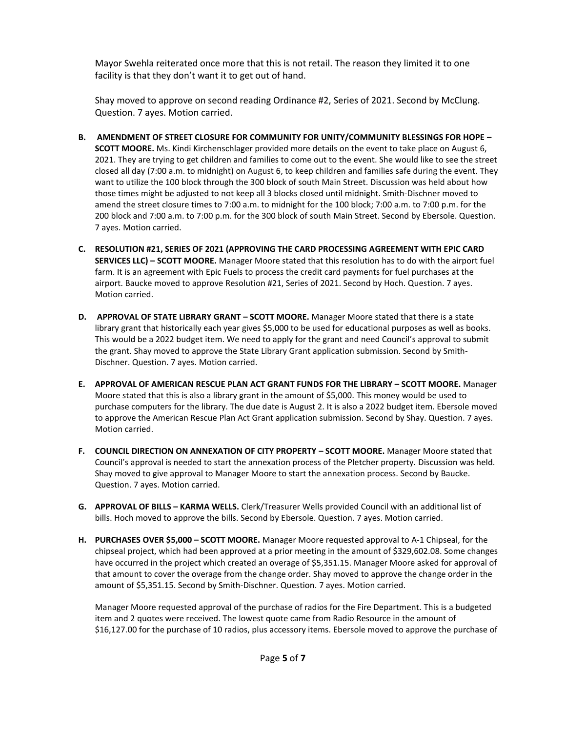Mayor Swehla reiterated once more that this is not retail. The reason they limited it to one facility is that they don't want it to get out of hand.

Shay moved to approve on second reading Ordinance #2, Series of 2021. Second by McClung. Question. 7 ayes. Motion carried.

- **B. AMENDMENT OF STREET CLOSURE FOR COMMUNITY FOR UNITY/COMMUNITY BLESSINGS FOR HOPE – SCOTT MOORE.** Ms. Kindi Kirchenschlager provided more details on the event to take place on August 6, 2021. They are trying to get children and families to come out to the event. She would like to see the street closed all day (7:00 a.m. to midnight) on August 6, to keep children and families safe during the event. They want to utilize the 100 block through the 300 block of south Main Street. Discussion was held about how those times might be adjusted to not keep all 3 blocks closed until midnight. Smith-Dischner moved to amend the street closure times to 7:00 a.m. to midnight for the 100 block; 7:00 a.m. to 7:00 p.m. for the 200 block and 7:00 a.m. to 7:00 p.m. for the 300 block of south Main Street. Second by Ebersole. Question. 7 ayes. Motion carried.
- **C. RESOLUTION #21, SERIES OF 2021 (APPROVING THE CARD PROCESSING AGREEMENT WITH EPIC CARD SERVICES LLC) – SCOTT MOORE.** Manager Moore stated that this resolution has to do with the airport fuel farm. It is an agreement with Epic Fuels to process the credit card payments for fuel purchases at the airport. Baucke moved to approve Resolution #21, Series of 2021. Second by Hoch. Question. 7 ayes. Motion carried.
- **D. APPROVAL OF STATE LIBRARY GRANT – SCOTT MOORE.** Manager Moore stated that there is a state library grant that historically each year gives \$5,000 to be used for educational purposes as well as books. This would be a 2022 budget item. We need to apply for the grant and need Council's approval to submit the grant. Shay moved to approve the State Library Grant application submission. Second by Smith-Dischner. Question. 7 ayes. Motion carried.
- **E. APPROVAL OF AMERICAN RESCUE PLAN ACT GRANT FUNDS FOR THE LIBRARY – SCOTT MOORE.** Manager Moore stated that this is also a library grant in the amount of \$5,000. This money would be used to purchase computers for the library. The due date is August 2. It is also a 2022 budget item. Ebersole moved to approve the American Rescue Plan Act Grant application submission. Second by Shay. Question. 7 ayes. Motion carried.
- **F. COUNCIL DIRECTION ON ANNEXATION OF CITY PROPERTY – SCOTT MOORE.** Manager Moore stated that Council's approval is needed to start the annexation process of the Pletcher property. Discussion was held. Shay moved to give approval to Manager Moore to start the annexation process. Second by Baucke. Question. 7 ayes. Motion carried.
- **G. APPROVAL OF BILLS – KARMA WELLS.** Clerk/Treasurer Wells provided Council with an additional list of bills. Hoch moved to approve the bills. Second by Ebersole. Question. 7 ayes. Motion carried.
- **H. PURCHASES OVER \$5,000 – SCOTT MOORE.** Manager Moore requested approval to A-1 Chipseal, for the chipseal project, which had been approved at a prior meeting in the amount of \$329,602.08. Some changes have occurred in the project which created an overage of \$5,351.15. Manager Moore asked for approval of that amount to cover the overage from the change order. Shay moved to approve the change order in the amount of \$5,351.15. Second by Smith-Dischner. Question. 7 ayes. Motion carried.

Manager Moore requested approval of the purchase of radios for the Fire Department. This is a budgeted item and 2 quotes were received. The lowest quote came from Radio Resource in the amount of \$16,127.00 for the purchase of 10 radios, plus accessory items. Ebersole moved to approve the purchase of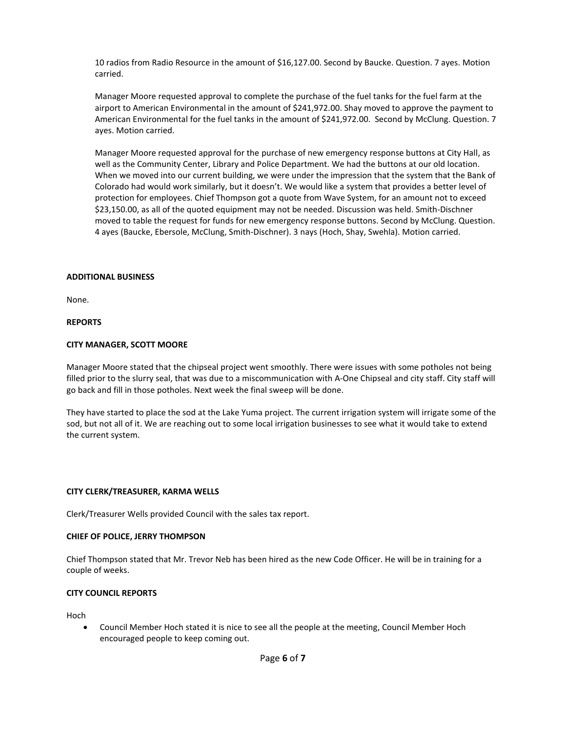10 radios from Radio Resource in the amount of \$16,127.00. Second by Baucke. Question. 7 ayes. Motion carried.

Manager Moore requested approval to complete the purchase of the fuel tanks for the fuel farm at the airport to American Environmental in the amount of \$241,972.00. Shay moved to approve the payment to American Environmental for the fuel tanks in the amount of \$241,972.00. Second by McClung. Question. 7 ayes. Motion carried.

Manager Moore requested approval for the purchase of new emergency response buttons at City Hall, as well as the Community Center, Library and Police Department. We had the buttons at our old location. When we moved into our current building, we were under the impression that the system that the Bank of Colorado had would work similarly, but it doesn't. We would like a system that provides a better level of protection for employees. Chief Thompson got a quote from Wave System, for an amount not to exceed \$23,150.00, as all of the quoted equipment may not be needed. Discussion was held. Smith-Dischner moved to table the request for funds for new emergency response buttons. Second by McClung. Question. 4 ayes (Baucke, Ebersole, McClung, Smith-Dischner). 3 nays (Hoch, Shay, Swehla). Motion carried.

## **ADDITIONAL BUSINESS**

None.

## **REPORTS**

## **CITY MANAGER, SCOTT MOORE**

Manager Moore stated that the chipseal project went smoothly. There were issues with some potholes not being filled prior to the slurry seal, that was due to a miscommunication with A-One Chipseal and city staff. City staff will go back and fill in those potholes. Next week the final sweep will be done.

They have started to place the sod at the Lake Yuma project. The current irrigation system will irrigate some of the sod, but not all of it. We are reaching out to some local irrigation businesses to see what it would take to extend the current system.

## **CITY CLERK/TREASURER, KARMA WELLS**

Clerk/Treasurer Wells provided Council with the sales tax report.

## **CHIEF OF POLICE, JERRY THOMPSON**

Chief Thompson stated that Mr. Trevor Neb has been hired as the new Code Officer. He will be in training for a couple of weeks.

## **CITY COUNCIL REPORTS**

Hoch

• Council Member Hoch stated it is nice to see all the people at the meeting, Council Member Hoch encouraged people to keep coming out.